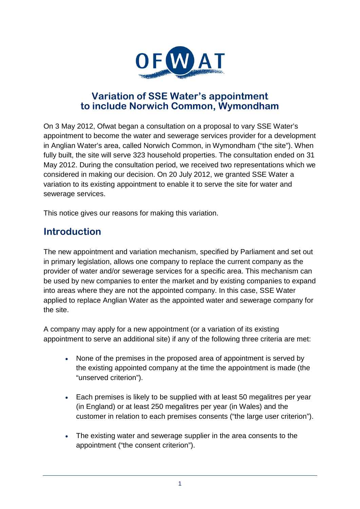

#### **Variation of SSE Water's appointment to include Norwich Common, Wymondham**

On 3 May 2012, Ofwat began a consultation on a proposal to vary SSE Water's appointment to become the water and sewerage services provider for a development in Anglian Water's area, called Norwich Common, in Wymondham ("the site"). When fully built, the site will serve 323 household properties. The consultation ended on 31 May 2012. During the consultation period, we received two representations which we considered in making our decision. On 20 July 2012, we granted SSE Water a variation to its existing appointment to enable it to serve the site for water and sewerage services.

This notice gives our reasons for making this variation.

## **Introduction**

The new appointment and variation mechanism, specified by Parliament and set out in primary legislation, allows one company to replace the current company as the provider of water and/or sewerage services for a specific area. This mechanism can be used by new companies to enter the market and by existing companies to expand into areas where they are not the appointed company. In this case, SSE Water applied to replace Anglian Water as the appointed water and sewerage company for the site.

A company may apply for a new appointment (or a variation of its existing appointment to serve an additional site) if any of the following three criteria are met:

- None of the premises in the proposed area of appointment is served by the existing appointed company at the time the appointment is made (the "unserved criterion").
- Each premises is likely to be supplied with at least 50 megalitres per year (in England) or at least 250 megalitres per year (in Wales) and the customer in relation to each premises consents ("the large user criterion").
- The existing water and sewerage supplier in the area consents to the appointment ("the consent criterion").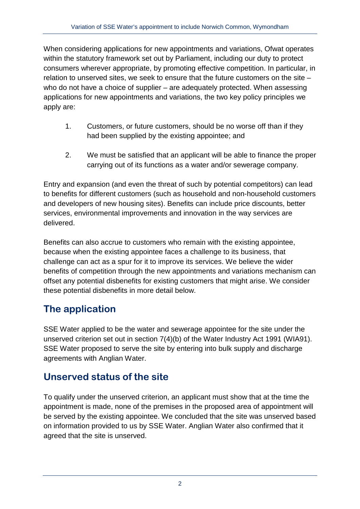When considering applications for new appointments and variations, Ofwat operates within the statutory framework set out by Parliament, including our duty to protect consumers wherever appropriate, by promoting effective competition. In particular, in relation to unserved sites, we seek to ensure that the future customers on the site – who do not have a choice of supplier – are adequately protected. When assessing applications for new appointments and variations, the two key policy principles we apply are:

- 1. Customers, or future customers, should be no worse off than if they had been supplied by the existing appointee; and
- 2. We must be satisfied that an applicant will be able to finance the proper carrying out of its functions as a water and/or sewerage company.

Entry and expansion (and even the threat of such by potential competitors) can lead to benefits for different customers (such as household and non-household customers and developers of new housing sites). Benefits can include price discounts, better services, environmental improvements and innovation in the way services are delivered.

Benefits can also accrue to customers who remain with the existing appointee, because when the existing appointee faces a challenge to its business, that challenge can act as a spur for it to improve its services. We believe the wider benefits of competition through the new appointments and variations mechanism can offset any potential disbenefits for existing customers that might arise. We consider these potential disbenefits in more detail below.

## **The application**

SSE Water applied to be the water and sewerage appointee for the site under the unserved criterion set out in section 7(4)(b) of the Water Industry Act 1991 (WIA91). SSE Water proposed to serve the site by entering into bulk supply and discharge agreements with Anglian Water.

# **Unserved status of the site**

To qualify under the unserved criterion, an applicant must show that at the time the appointment is made, none of the premises in the proposed area of appointment will be served by the existing appointee. We concluded that the site was unserved based on information provided to us by SSE Water. Anglian Water also confirmed that it agreed that the site is unserved.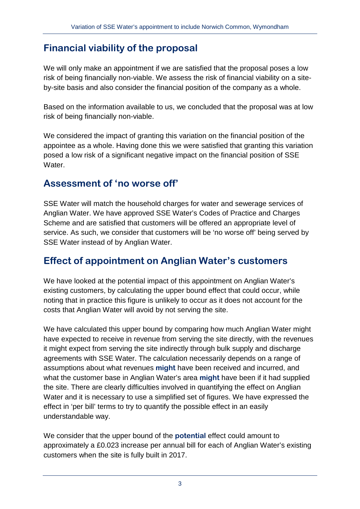## **Financial viability of the proposal**

We will only make an appointment if we are satisfied that the proposal poses a low risk of being financially non-viable. We assess the risk of financial viability on a siteby-site basis and also consider the financial position of the company as a whole.

Based on the information available to us, we concluded that the proposal was at low risk of being financially non-viable.

We considered the impact of granting this variation on the financial position of the appointee as a whole. Having done this we were satisfied that granting this variation posed a low risk of a significant negative impact on the financial position of SSE Water

### **Assessment of 'no worse off'**

SSE Water will match the household charges for water and sewerage services of Anglian Water. We have approved SSE Water's Codes of Practice and Charges Scheme and are satisfied that customers will be offered an appropriate level of service. As such, we consider that customers will be 'no worse off' being served by SSE Water instead of by Anglian Water.

#### **Effect of appointment on Anglian Water's customers**

We have looked at the potential impact of this appointment on Anglian Water's existing customers, by calculating the upper bound effect that could occur, while noting that in practice this figure is unlikely to occur as it does not account for the costs that Anglian Water will avoid by not serving the site.

We have calculated this upper bound by comparing how much Anglian Water might have expected to receive in revenue from serving the site directly, with the revenues it might expect from serving the site indirectly through bulk supply and discharge agreements with SSE Water. The calculation necessarily depends on a range of assumptions about what revenues **might** have been received and incurred, and what the customer base in Anglian Water's area **might** have been if it had supplied the site. There are clearly difficulties involved in quantifying the effect on Anglian Water and it is necessary to use a simplified set of figures. We have expressed the effect in 'per bill' terms to try to quantify the possible effect in an easily understandable way.

We consider that the upper bound of the **potential** effect could amount to approximately a £0.023 increase per annual bill for each of Anglian Water's existing customers when the site is fully built in 2017.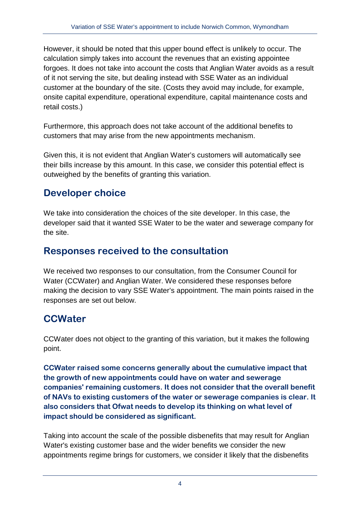However, it should be noted that this upper bound effect is unlikely to occur. The calculation simply takes into account the revenues that an existing appointee forgoes. It does not take into account the costs that Anglian Water avoids as a result of it not serving the site, but dealing instead with SSE Water as an individual customer at the boundary of the site. (Costs they avoid may include, for example, onsite capital expenditure, operational expenditure, capital maintenance costs and retail costs.)

Furthermore, this approach does not take account of the additional benefits to customers that may arise from the new appointments mechanism.

Given this, it is not evident that Anglian Water's customers will automatically see their bills increase by this amount. In this case, we consider this potential effect is outweighed by the benefits of granting this variation.

# **Developer choice**

We take into consideration the choices of the site developer. In this case, the developer said that it wanted SSE Water to be the water and sewerage company for the site.

### **Responses received to the consultation**

We received two responses to our consultation, from the Consumer Council for Water (CCWater) and Anglian Water. We considered these responses before making the decision to vary SSE Water's appointment. The main points raised in the responses are set out below.

## **CCWater**

CCWater does not object to the granting of this variation, but it makes the following point.

**CCWater raised some concerns generally about the cumulative impact that the growth of new appointments could have on water and sewerage companies' remaining customers. It does not consider that the overall benefit of NAVs to existing customers of the water or sewerage companies is clear. It also considers that Ofwat needs to develop its thinking on what level of impact should be considered as significant.**

Taking into account the scale of the possible disbenefits that may result for Anglian Water's existing customer base and the wider benefits we consider the new appointments regime brings for customers, we consider it likely that the disbenefits